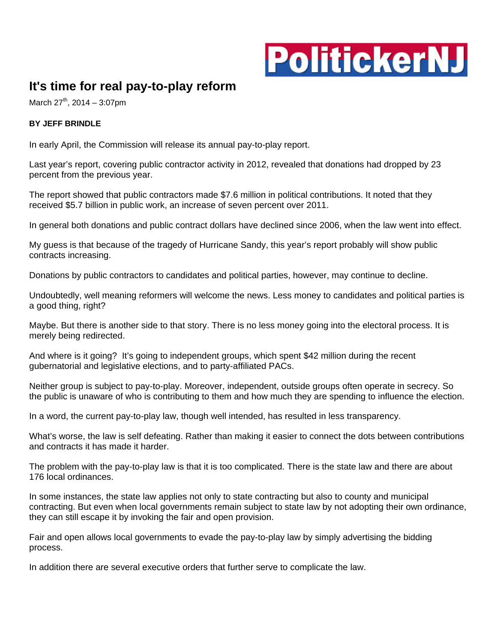

## **It's time for real pay-to-play reform**

March  $27^{th}$ , 2014 – 3:07pm

## **BY JEFF BRINDLE**

In early April, the Commission will release its annual pay-to-play report.

Last year's report, covering public contractor activity in 2012, revealed that donations had dropped by 23 percent from the previous year.

The report showed that public contractors made \$7.6 million in political contributions. It noted that they received \$5.7 billion in public work, an increase of seven percent over 2011.

In general both donations and public contract dollars have declined since 2006, when the law went into effect.

My guess is that because of the tragedy of Hurricane Sandy, this year's report probably will show public contracts increasing.

Donations by public contractors to candidates and political parties, however, may continue to decline.

Undoubtedly, well meaning reformers will welcome the news. Less money to candidates and political parties is a good thing, right?

Maybe. But there is another side to that story. There is no less money going into the electoral process. It is merely being redirected.

And where is it going? It's going to independent groups, which spent \$42 million during the recent gubernatorial and legislative elections, and to party-affiliated PACs.

Neither group is subject to pay-to-play. Moreover, independent, outside groups often operate in secrecy. So the public is unaware of who is contributing to them and how much they are spending to influence the election.

In a word, the current pay-to-play law, though well intended, has resulted in less transparency.

What's worse, the law is self defeating. Rather than making it easier to connect the dots between contributions and contracts it has made it harder.

The problem with the pay-to-play law is that it is too complicated. There is the state law and there are about 176 local ordinances.

In some instances, the state law applies not only to state contracting but also to county and municipal contracting. But even when local governments remain subject to state law by not adopting their own ordinance, they can still escape it by invoking the fair and open provision.

Fair and open allows local governments to evade the pay-to-play law by simply advertising the bidding process.

In addition there are several executive orders that further serve to complicate the law.